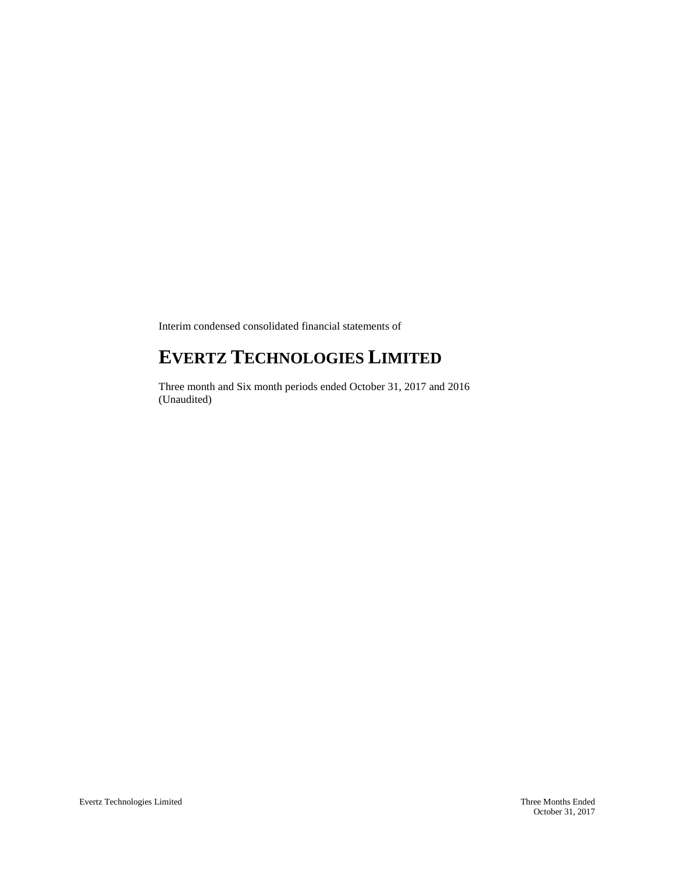Interim condensed consolidated financial statements of

# **EVERTZ TECHNOLOGIES LIMITED**

Three month and Six month periods ended October 31, 2017 and 2016 (Unaudited)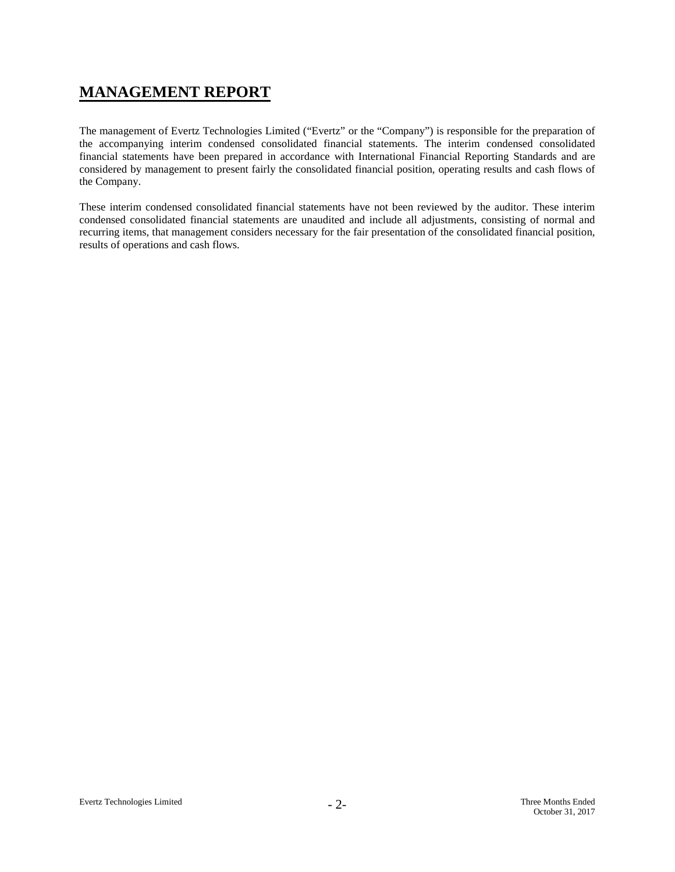# **MANAGEMENT REPORT**

The management of Evertz Technologies Limited ("Evertz" or the "Company") is responsible for the preparation of the accompanying interim condensed consolidated financial statements. The interim condensed consolidated financial statements have been prepared in accordance with International Financial Reporting Standards and are considered by management to present fairly the consolidated financial position, operating results and cash flows of the Company.

These interim condensed consolidated financial statements have not been reviewed by the auditor. These interim condensed consolidated financial statements are unaudited and include all adjustments, consisting of normal and recurring items, that management considers necessary for the fair presentation of the consolidated financial position, results of operations and cash flows.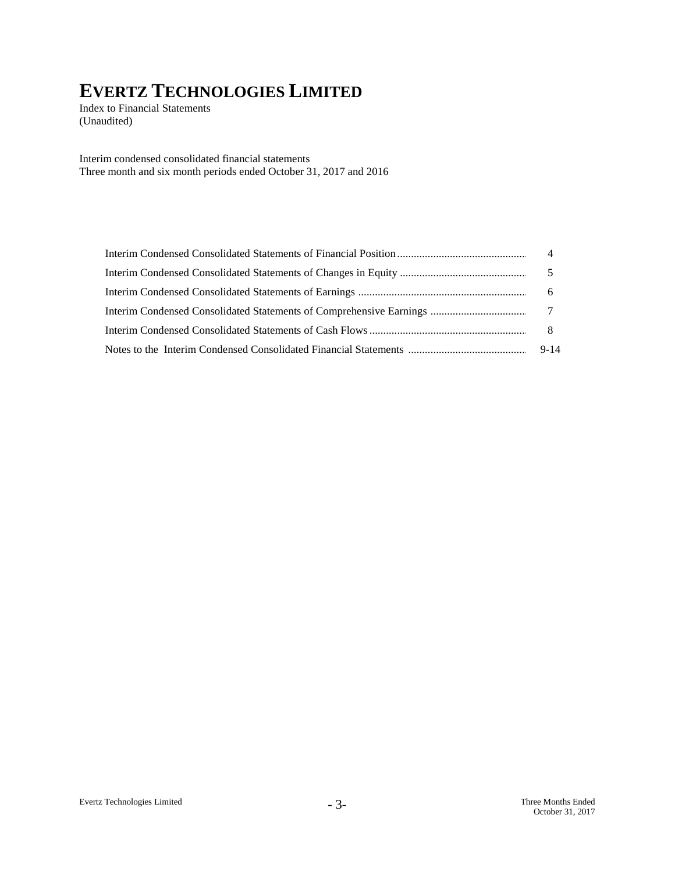Index to Financial Statements (Unaudited)

Interim condensed consolidated financial statements Three month and six month periods ended October 31, 2017 and 2016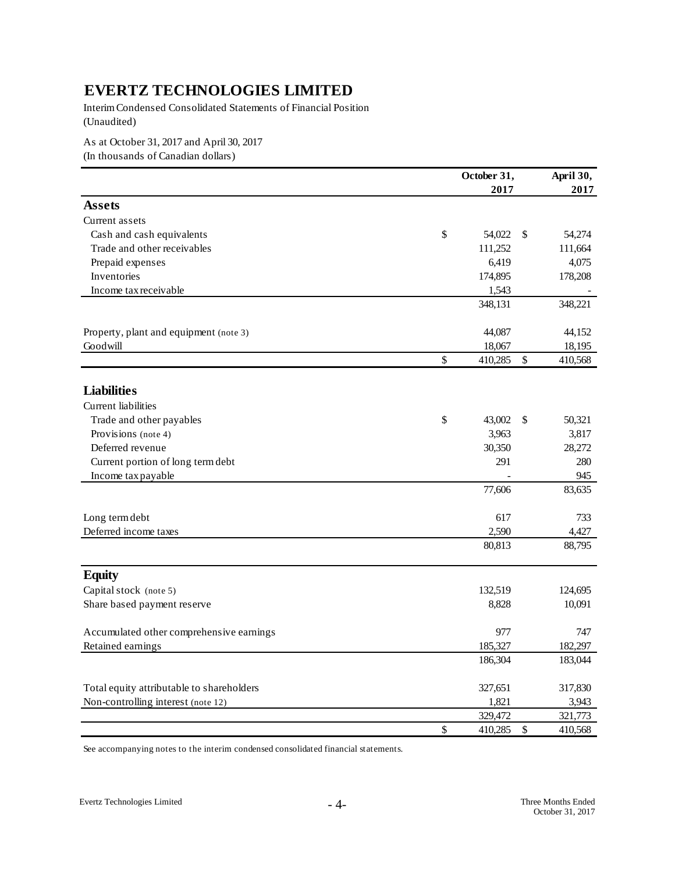Interim Condensed Consolidated Statements of Financial Position (Unaudited)

As at October 31, 2017 and April 30, 2017

(In thousands of Canadian dollars)

|                                           |               | October 31, |                           | April 30, |
|-------------------------------------------|---------------|-------------|---------------------------|-----------|
|                                           |               | 2017        |                           | 2017      |
| <b>Assets</b>                             |               |             |                           |           |
| Current assets                            |               |             |                           |           |
| Cash and cash equivalents                 | \$            | 54,022      | -S                        | 54,274    |
| Trade and other receivables               |               | 111,252     |                           | 111,664   |
| Prepaid expenses                          |               | 6,419       |                           | 4,075     |
| Inventories                               |               | 174,895     |                           | 178,208   |
| Income tax receivable                     |               | 1,543       |                           |           |
|                                           |               | 348,131     |                           | 348,221   |
| Property, plant and equipment (note 3)    |               | 44,087      |                           | 44,152    |
| Goodwill                                  |               | 18,067      |                           | 18,195    |
|                                           | $\mathcal{S}$ | 410,285     | $\boldsymbol{\mathsf{S}}$ | 410,568   |
| <b>Liabilities</b>                        |               |             |                           |           |
| <b>Current</b> liabilities                |               |             |                           |           |
| Trade and other payables                  | \$            | 43,002      | \$                        | 50,321    |
| Provisions (note 4)                       |               | 3,963       |                           | 3,817     |
| Deferred revenue                          |               | 30,350      |                           | 28,272    |
| Current portion of long term debt         |               | 291         |                           | 280       |
| Income tax payable                        |               |             |                           | 945       |
|                                           |               | 77,606      |                           | 83,635    |
|                                           |               |             |                           |           |
| Long term debt                            |               | 617         |                           | 733       |
| Deferred income taxes                     |               | 2,590       |                           | 4,427     |
|                                           |               | 80,813      |                           | 88,795    |
| <b>Equity</b>                             |               |             |                           |           |
| Capital stock (note 5)                    |               | 132,519     |                           | 124,695   |
| Share based payment reserve               |               | 8,828       |                           | 10,091    |
| Accumulated other comprehensive earnings  |               | 977         |                           | 747       |
| Retained earnings                         |               | 185,327     |                           | 182,297   |
|                                           |               | 186,304     |                           | 183,044   |
| Total equity attributable to shareholders |               | 327,651     |                           | 317,830   |
| Non-controlling interest (note 12)        |               | 1,821       |                           | 3,943     |
|                                           |               | 329,472     |                           | 321,773   |
|                                           | $\mathcal{S}$ | 410,285     | $\$$                      | 410,568   |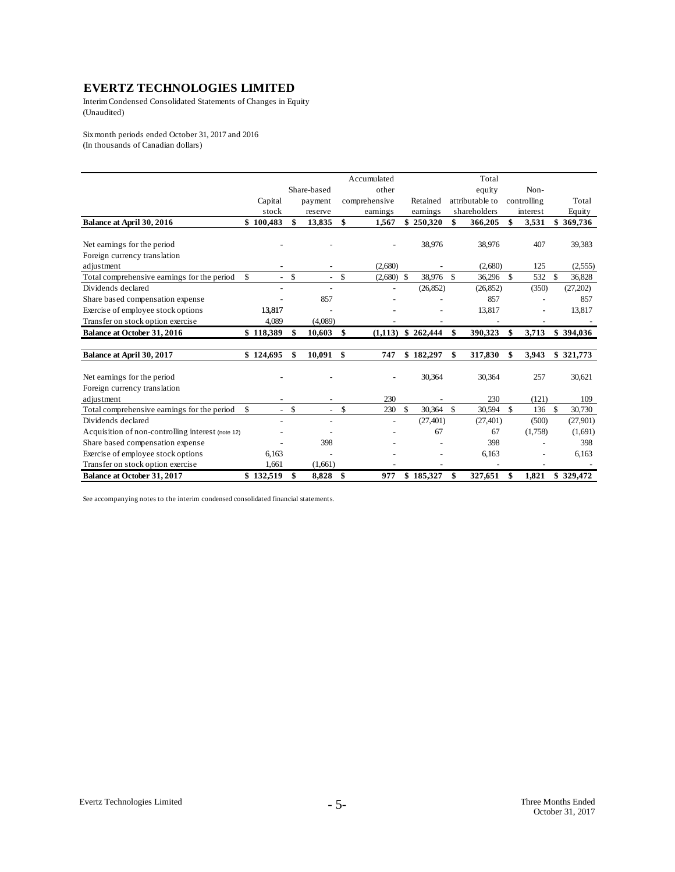Interim Condensed Consolidated Statements of Changes in Equity (Unaudited)

Six month periods ended October 31, 2017 and 2016 (In thousands of Canadian dollars)

|                                                   |                      |                          |        | Accumulated   |               |           |               | Total           |             |               |           |
|---------------------------------------------------|----------------------|--------------------------|--------|---------------|---------------|-----------|---------------|-----------------|-------------|---------------|-----------|
|                                                   |                      | Share-based              |        | other         |               |           |               | equity          | Non-        |               |           |
|                                                   | Capital              | payment                  |        | comprehensive |               | Retained  |               | attributable to | controlling |               | Total     |
|                                                   | stock                | reserve                  |        | earnings      |               | earnings  |               | shareholders    | interest    |               | Equity    |
| Balance at April 30, 2016                         | \$100,483            | \$<br>13,835             | \$     | 1,567         | \$            | 250,320   | \$            | 366,205         | \$<br>3,531 |               | \$369,736 |
|                                                   |                      |                          |        |               |               |           |               |                 |             |               |           |
| Net earnings for the period                       |                      |                          |        |               |               | 38,976    |               | 38,976          | 407         |               | 39,383    |
| Foreign currency translation                      |                      |                          |        |               |               |           |               |                 |             |               |           |
| adjustment                                        |                      | $\qquad \qquad -$        |        | (2,680)       |               |           |               | (2,680)         | 125         |               | (2,555)   |
| Total comprehensive earnings for the period       | \$                   | \$                       | $-$ \$ | $(2,680)$ \$  |               | 38,976 \$ |               | 36,296          | \$<br>532   | \$            | 36,828    |
| Dividends declared                                |                      |                          |        |               |               | (26, 852) |               | (26, 852)       | (350)       |               | (27,202)  |
| Share based compensation expense                  |                      | 857                      |        |               |               |           |               | 857             |             |               | 857       |
| Exercise of employee stock options                | 13,817               |                          |        |               |               |           |               | 13,817          |             |               | 13,817    |
| Transfer on stock option exercise                 | 4,089                | (4,089)                  |        |               |               |           |               |                 |             |               |           |
| <b>Balance at October 31, 2016</b>                | \$118,389            | 10,603                   | \$     | (1,113)       |               | \$262,444 | \$            | 390,323         | \$<br>3,713 |               | \$394,036 |
| Balance at April 30, 2017                         | \$124,695            | \$<br>10,091             | \$     | 747           |               | \$182,297 | \$            | 317,830         | \$<br>3,943 |               | \$321,773 |
|                                                   |                      |                          |        |               |               |           |               |                 |             |               |           |
| Net earnings for the period                       |                      |                          |        |               |               | 30,364    |               | 30,364          | 257         |               | 30,621    |
| Foreign currency translation                      |                      |                          |        |               |               |           |               |                 |             |               |           |
| adjustment                                        |                      |                          |        | 230           |               |           |               | 230             | (121)       |               | 109       |
| Total comprehensive earnings for the period       | \$<br>$\overline{a}$ | \$<br>$\sim$             | \$     | 230           | $\mathsf{\$}$ | 30.364    | $\mathcal{S}$ | 30,594          | \$<br>136   | <sup>\$</sup> | 30,730    |
| Dividends declared                                |                      | $\overline{\phantom{a}}$ |        |               |               | (27, 401) |               | (27, 401)       | (500)       |               | (27,901)  |
| Acquisition of non-controlling interest (note 12) |                      |                          |        |               |               | 67        |               | 67              | (1,758)     |               | (1,691)   |
| Share based compensation expense                  |                      | 398                      |        |               |               |           |               | 398             |             |               | 398       |
| Exercise of employee stock options                | 6,163                |                          |        |               |               |           |               | 6,163           |             |               | 6,163     |
| Transfer on stock option exercise                 | 1.661                | (1,661)                  |        |               |               |           |               |                 |             |               |           |
| <b>Balance at October 31, 2017</b>                | \$132.519            | \$<br>8,828              | -\$    | 977           |               | \$185,327 | \$            | 327.651         | \$<br>1.821 |               | \$329,472 |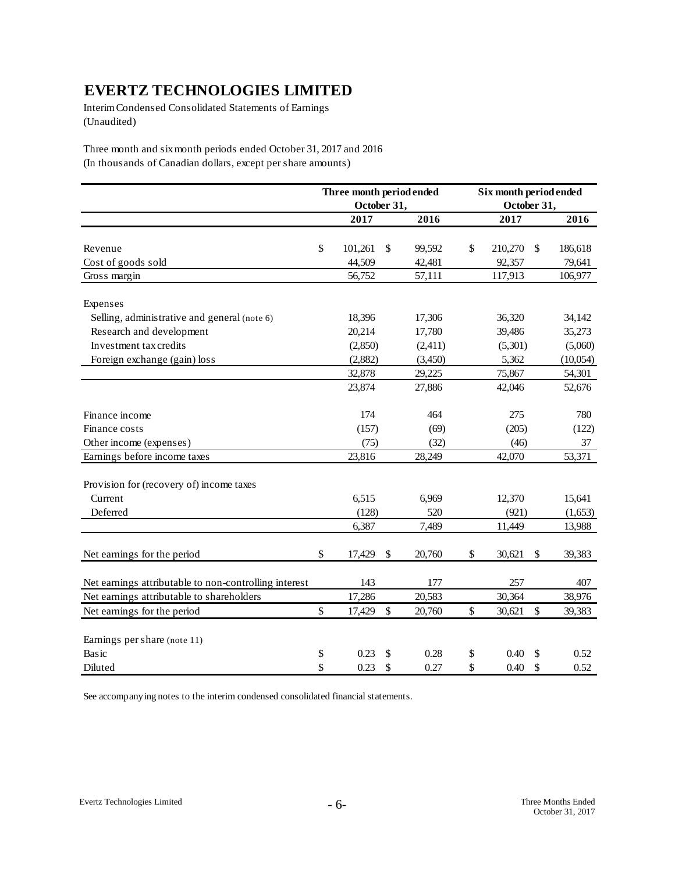Interim Condensed Consolidated Statements of Earnings (Unaudited)

Three month and six month periods ended October 31, 2017 and 2016 (In thousands of Canadian dollars, except per share amounts)

|                                                       | Three month period ended |             |                           |         | Six month period ended |             |                           |          |  |
|-------------------------------------------------------|--------------------------|-------------|---------------------------|---------|------------------------|-------------|---------------------------|----------|--|
|                                                       |                          | October 31, |                           |         |                        | October 31, |                           |          |  |
|                                                       |                          | 2017        |                           | 2016    |                        | 2017        |                           | 2016     |  |
|                                                       |                          |             |                           |         |                        |             |                           |          |  |
| Revenue                                               | \$                       | 101,261     | \$                        | 99,592  | \$                     | 210,270     | $\sqrt{3}$                | 186,618  |  |
| Cost of goods sold                                    |                          | 44,509      |                           | 42,481  |                        | 92,357      |                           | 79,641   |  |
| Gross margin                                          |                          | 56,752      |                           | 57,111  |                        | 117,913     |                           | 106,977  |  |
| Expenses                                              |                          |             |                           |         |                        |             |                           |          |  |
| Selling, administrative and general (note 6)          |                          | 18,396      |                           | 17,306  |                        | 36,320      |                           | 34,142   |  |
| Research and development                              |                          | 20,214      |                           | 17,780  |                        | 39,486      |                           | 35,273   |  |
| Investment tax credits                                |                          | (2,850)     |                           | (2,411) |                        | (5,301)     |                           | (5,060)  |  |
| Foreign exchange (gain) loss                          |                          | (2,882)     |                           | (3,450) |                        | 5,362       |                           | (10,054) |  |
|                                                       |                          | 32,878      |                           | 29,225  |                        | 75,867      |                           | 54,301   |  |
|                                                       |                          | 23,874      |                           | 27,886  |                        | 42,046      |                           | 52,676   |  |
| Finance income                                        |                          | 174         |                           | 464     |                        | 275         |                           | 780      |  |
| Finance costs                                         |                          | (157)       |                           | (69)    |                        | (205)       |                           | (122)    |  |
| Other income (expenses)                               |                          | (75)        |                           | (32)    |                        | (46)        |                           | 37       |  |
| Earnings before income taxes                          |                          | 23,816      |                           | 28,249  |                        | 42,070      |                           | 53,371   |  |
| Provision for (recovery of) income taxes              |                          |             |                           |         |                        |             |                           |          |  |
| Current                                               |                          | 6,515       |                           | 6,969   |                        | 12,370      |                           | 15,641   |  |
| Deferred                                              |                          | (128)       |                           | 520     |                        | (921)       |                           | (1,653)  |  |
|                                                       |                          | 6,387       |                           | 7,489   |                        | 11,449      |                           | 13,988   |  |
| Net earnings for the period                           | \$                       | 17,429      | $\boldsymbol{\mathsf{S}}$ | 20,760  | \$                     | 30,621      | \$                        | 39,383   |  |
| Net earnings attributable to non-controlling interest |                          | 143         |                           | 177     |                        | 257         |                           | 407      |  |
| Net earnings attributable to shareholders             |                          | 17,286      |                           | 20,583  |                        | 30,364      |                           | 38,976   |  |
| Net earnings for the period                           | \$                       | 17,429      | \$                        | 20,760  | \$                     | 30,621      | \$                        | 39,383   |  |
| Earnings per share (note 11)                          |                          |             |                           |         |                        |             |                           |          |  |
| Basic                                                 | \$                       | 0.23        | \$                        | 0.28    | \$                     | 0.40        | \$                        | 0.52     |  |
| Diluted                                               | \$                       | 0.23        | \$                        | 0.27    | \$                     | 0.40        | $\boldsymbol{\mathsf{S}}$ | 0.52     |  |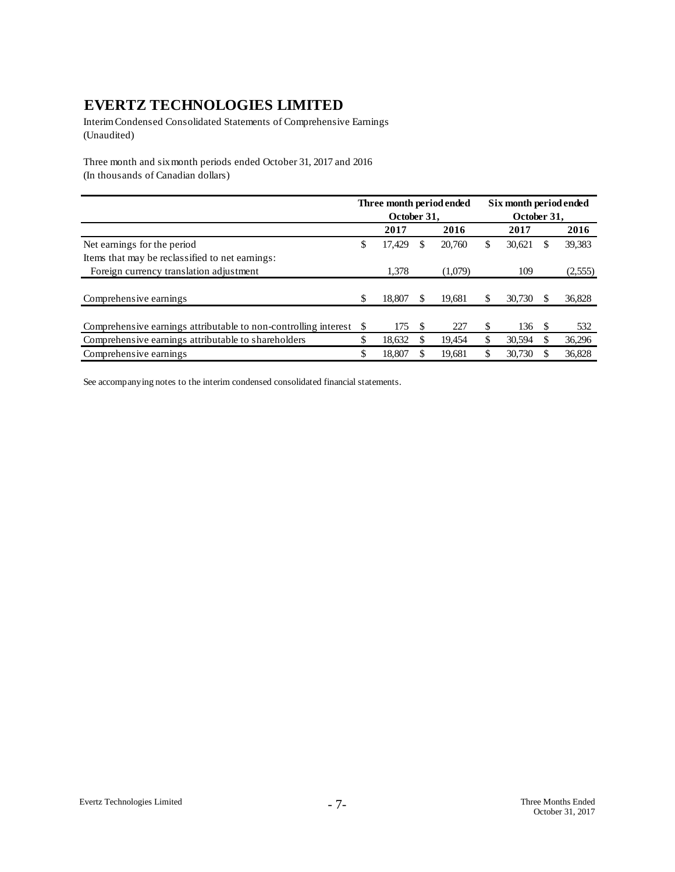Interim Condensed Consolidated Statements of Comprehensive Earnings (Unaudited)

Three month and six month periods ended October 31, 2017 and 2016 (In thousands of Canadian dollars)

|                                                                 |    |             |   | Three month period ended | Six month period ended |        |             |         |  |
|-----------------------------------------------------------------|----|-------------|---|--------------------------|------------------------|--------|-------------|---------|--|
|                                                                 |    | October 31. |   |                          |                        |        | October 31. |         |  |
|                                                                 |    | 2017        |   | 2016                     |                        | 2017   |             | 2016    |  |
| Net earnings for the period                                     | \$ | 17,429      | S | 20.760                   | \$                     | 30,621 | S           | 39,383  |  |
| Items that may be reclassified to net earnings:                 |    |             |   |                          |                        |        |             |         |  |
| Foreign currency translation adjustment                         |    | 1.378       |   | (1,079)                  |                        | 109    |             | (2,555) |  |
|                                                                 |    |             |   |                          |                        |        |             |         |  |
| Comprehensive earnings                                          | S  | 18,807      |   | 19.681                   | S                      | 30,730 |             | 36,828  |  |
|                                                                 |    |             |   |                          |                        |        |             |         |  |
| Comprehensive earnings attributable to non-controlling interest | S  | 175         | S | 227                      | S                      | 136    | \$.         | 532     |  |
| Comprehensive earnings attributable to shareholders             | \$ | 18,632      |   | 19,454                   | \$                     | 30,594 |             | 36,296  |  |
| Comprehensive earnings                                          | \$ | 18,807      |   | 19,681                   | \$                     | 30,730 |             | 36,828  |  |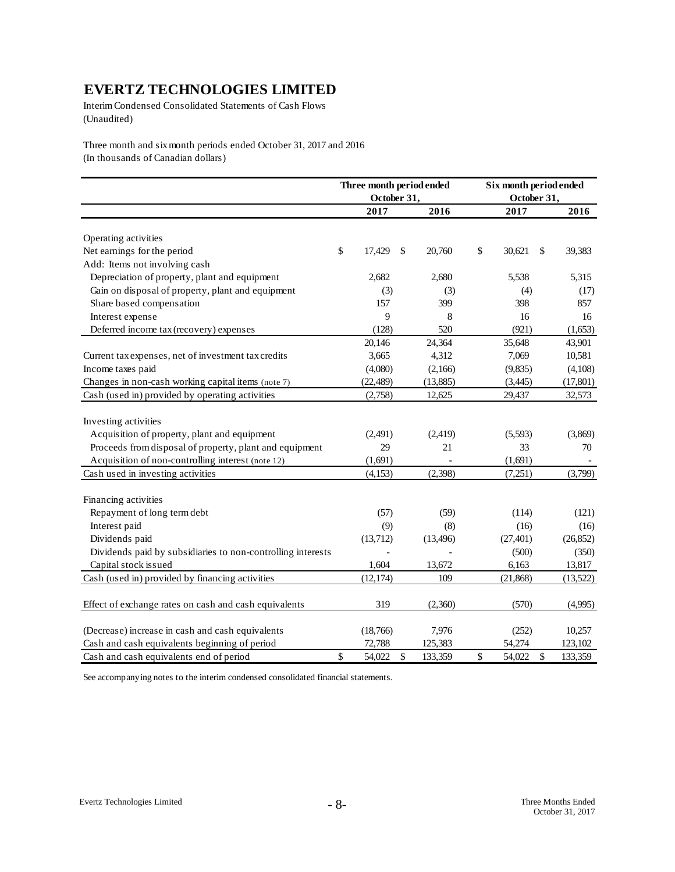Interim Condensed Consolidated Statements of Cash Flows (Unaudited)

Three month and six month periods ended October 31, 2017 and 2016 (In thousands of Canadian dollars)

|                                                             | Three month period ended |             |      |           |    | Six month period ended |    |           |  |  |
|-------------------------------------------------------------|--------------------------|-------------|------|-----------|----|------------------------|----|-----------|--|--|
|                                                             |                          | October 31, |      |           |    | October 31,            |    |           |  |  |
|                                                             |                          | 2017        |      | 2016      |    | 2017                   |    | 2016      |  |  |
|                                                             |                          |             |      |           |    |                        |    |           |  |  |
| Operating activities                                        |                          |             |      |           |    |                        |    |           |  |  |
| Net earnings for the period                                 | \$                       | 17,429      | \$   | 20,760    | \$ | 30,621                 | \$ | 39,383    |  |  |
| Add: Items not involving cash                               |                          |             |      |           |    |                        |    |           |  |  |
| Depreciation of property, plant and equipment               |                          | 2,682       |      | 2,680     |    | 5,538                  |    | 5,315     |  |  |
| Gain on disposal of property, plant and equipment           |                          | (3)         |      | (3)       |    | (4)                    |    | (17)      |  |  |
| Share based compensation                                    |                          | 157         |      | 399       |    | 398                    |    | 857       |  |  |
| Interest expense                                            |                          | 9           |      | 8         |    | 16                     |    | 16        |  |  |
| Deferred income tax (recovery) expenses                     |                          | (128)       |      | 520       |    | (921)                  |    | (1,653)   |  |  |
|                                                             |                          | 20,146      |      | 24,364    |    | 35,648                 |    | 43,901    |  |  |
| Current tax expenses, net of investment tax credits         |                          | 3,665       |      | 4,312     |    | 7,069                  |    | 10,581    |  |  |
| Income taxes paid                                           |                          | (4,080)     |      | (2,166)   |    | (9, 835)               |    | (4,108)   |  |  |
| Changes in non-cash working capital items (note 7)          |                          | (22, 489)   |      | (13,885)  |    | (3,445)                |    | (17, 801) |  |  |
| Cash (used in) provided by operating activities             |                          | (2,758)     |      | 12,625    |    | 29,437                 |    | 32,573    |  |  |
|                                                             |                          |             |      |           |    |                        |    |           |  |  |
| Investing activities                                        |                          |             |      |           |    |                        |    |           |  |  |
| Acquisition of property, plant and equipment                |                          | (2,491)     |      | (2, 419)  |    | (5,593)                |    | (3,869)   |  |  |
| Proceeds from disposal of property, plant and equipment     |                          | 29          |      | 21        |    | 33                     |    | 70        |  |  |
| Acquisition of non-controlling interest (note 12)           |                          | (1,691)     |      |           |    | (1,691)                |    |           |  |  |
| Cash used in investing activities                           |                          | (4,153)     |      | (2,398)   |    | (7,251)                |    | (3,799)   |  |  |
|                                                             |                          |             |      |           |    |                        |    |           |  |  |
| Financing activities                                        |                          |             |      |           |    |                        |    |           |  |  |
| Repayment of long term debt                                 |                          | (57)        |      | (59)      |    | (114)                  |    | (121)     |  |  |
| Interest paid                                               |                          | (9)         |      | (8)       |    | (16)                   |    | (16)      |  |  |
| Dividends paid                                              |                          | (13,712)    |      | (13, 496) |    | (27, 401)              |    | (26, 852) |  |  |
| Dividends paid by subsidiaries to non-controlling interests |                          |             |      |           |    | (500)                  |    | (350)     |  |  |
| Capital stock issued                                        |                          | 1,604       |      | 13,672    |    | 6,163                  |    | 13,817    |  |  |
| Cash (used in) provided by financing activities             |                          | (12, 174)   |      | 109       |    | (21, 868)              |    | (13,522)  |  |  |
|                                                             |                          |             |      |           |    |                        |    |           |  |  |
| Effect of exchange rates on cash and cash equivalents       |                          | 319         |      | (2,360)   |    | (570)                  |    | (4,995)   |  |  |
|                                                             |                          |             |      |           |    |                        |    |           |  |  |
| (Decrease) increase in cash and cash equivalents            |                          | (18,766)    |      | 7,976     |    | (252)                  |    | 10,257    |  |  |
| Cash and cash equivalents beginning of period               |                          | 72,788      |      | 125,383   |    | 54,274                 |    | 123,102   |  |  |
| Cash and cash equivalents end of period                     | \$                       | 54,022      | $\$$ | 133,359   | \$ | 54,022                 | \$ | 133,359   |  |  |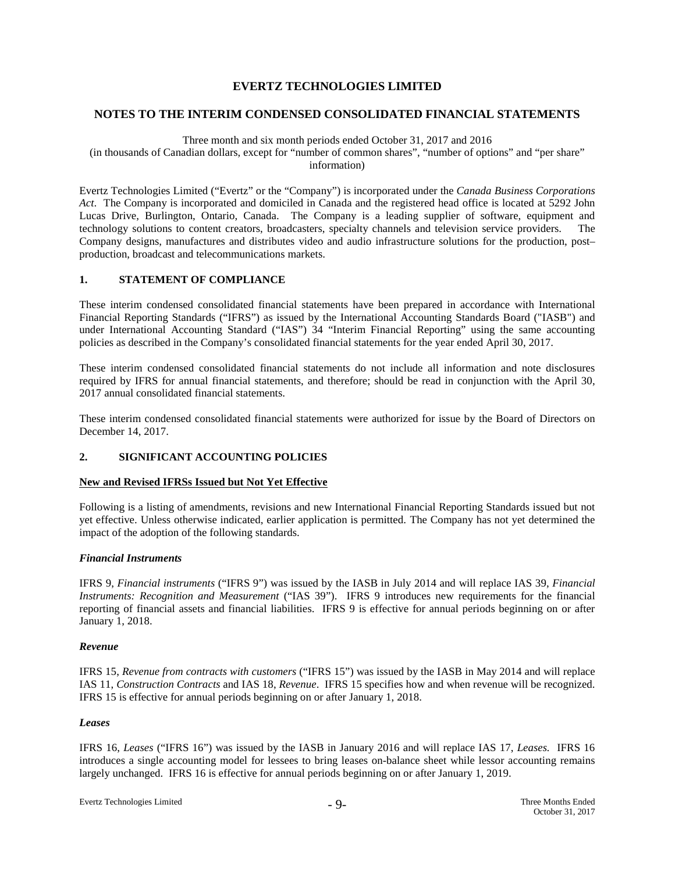#### **NOTES TO THE INTERIM CONDENSED CONSOLIDATED FINANCIAL STATEMENTS**

#### Three month and six month periods ended October 31, 2017 and 2016

(in thousands of Canadian dollars, except for "number of common shares", "number of options" and "per share" information)

Evertz Technologies Limited ("Evertz" or the "Company") is incorporated under the *Canada Business Corporations Act*. The Company is incorporated and domiciled in Canada and the registered head office is located at 5292 John Lucas Drive, Burlington, Ontario, Canada. The Company is a leading supplier of software, equipment and technology solutions to content creators, broadcasters, specialty channels and television service providers. The Company designs, manufactures and distributes video and audio infrastructure solutions for the production, post– production, broadcast and telecommunications markets.

#### **1. STATEMENT OF COMPLIANCE**

These interim condensed consolidated financial statements have been prepared in accordance with International Financial Reporting Standards ("IFRS") as issued by the International Accounting Standards Board ("IASB") and under International Accounting Standard ("IAS") 34 "Interim Financial Reporting" using the same accounting policies as described in the Company's consolidated financial statements for the year ended April 30, 2017.

These interim condensed consolidated financial statements do not include all information and note disclosures required by IFRS for annual financial statements, and therefore; should be read in conjunction with the April 30, 2017 annual consolidated financial statements.

These interim condensed consolidated financial statements were authorized for issue by the Board of Directors on December 14, 2017.

#### **2. SIGNIFICANT ACCOUNTING POLICIES**

#### **New and Revised IFRSs Issued but Not Yet Effective**

Following is a listing of amendments, revisions and new International Financial Reporting Standards issued but not yet effective. Unless otherwise indicated, earlier application is permitted. The Company has not yet determined the impact of the adoption of the following standards.

#### *Financial Instruments*

IFRS 9, *Financial instruments* ("IFRS 9") was issued by the IASB in July 2014 and will replace IAS 39, *Financial Instruments: Recognition and Measurement* ("IAS 39"). IFRS 9 introduces new requirements for the financial reporting of financial assets and financial liabilities. IFRS 9 is effective for annual periods beginning on or after January 1, 2018.

#### *Revenue*

IFRS 15, *Revenue from contracts with customers* ("IFRS 15") was issued by the IASB in May 2014 and will replace IAS 11, *Construction Contracts* and IAS 18, *Revenue*. IFRS 15 specifies how and when revenue will be recognized. IFRS 15 is effective for annual periods beginning on or after January 1, 2018.

#### *Leases*

IFRS 16, *Leases* ("IFRS 16") was issued by the IASB in January 2016 and will replace IAS 17, *Leases.* IFRS 16 introduces a single accounting model for lessees to bring leases on-balance sheet while lessor accounting remains largely unchanged. IFRS 16 is effective for annual periods beginning on or after January 1, 2019.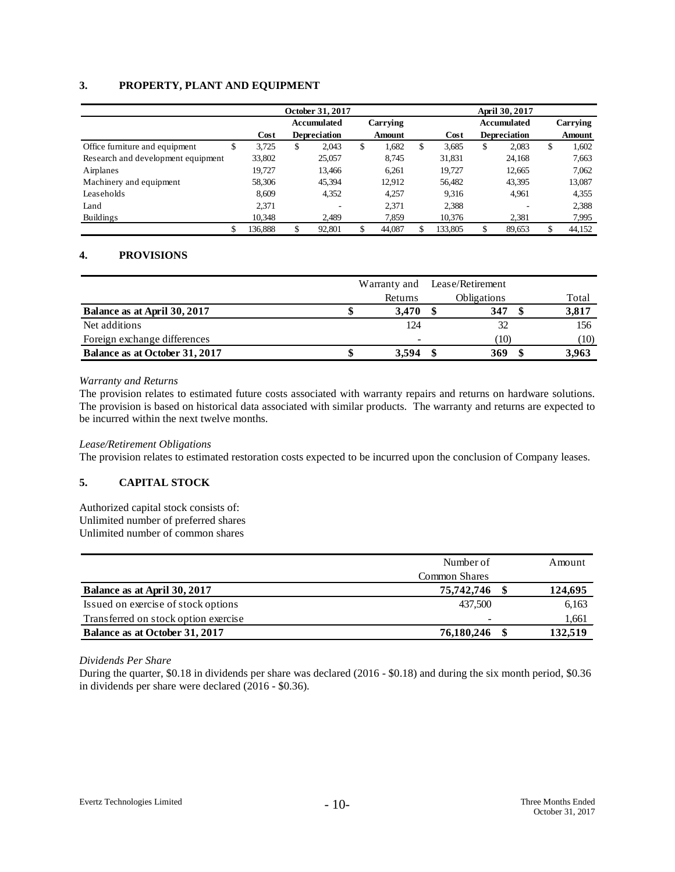### **3. PROPERTY, PLANT AND EQUIPMENT**

|                                     |         | October 31, 2017 |                     |   |          |   | April 30, 2017 |    |                     |    |          |  |
|-------------------------------------|---------|------------------|---------------------|---|----------|---|----------------|----|---------------------|----|----------|--|
|                                     |         |                  | Accumulated         |   | Carrying |   |                |    | <b>Accumulated</b>  |    | Carrying |  |
|                                     | Cost    |                  | <b>Depreciation</b> |   | Amount   |   | Cost           |    | <b>Depreciation</b> |    | Amount   |  |
| Office furniture and equipment<br>э | 3,725   | \$               | 2,043               | S | 1,682    | S | 3,685          | \$ | 2,083               | \$ | 1,602    |  |
| Research and development equipment  | 33,802  |                  | 25,057              |   | 8.745    |   | 31,831         |    | 24,168              |    | 7,663    |  |
| Airplanes                           | 19.727  |                  | 13.466              |   | 6.261    |   | 19.727         |    | 12,665              |    | 7,062    |  |
| Machinery and equipment             | 58,306  |                  | 45,394              |   | 12,912   |   | 56,482         |    | 43,395              |    | 13,087   |  |
| Leaseholds                          | 8.609   |                  | 4,352               |   | 4.257    |   | 9.316          |    | 4,961               |    | 4,355    |  |
| Land                                | 2.371   |                  | ۰                   |   | 2,371    |   | 2,388          |    |                     |    | 2,388    |  |
| <b>Buildings</b>                    | 10,348  |                  | 2.489               |   | 7,859    |   | 10,376         |    | 2,381               |    | 7,995    |  |
| \$                                  | 136,888 |                  | 92,801              |   | 44,087   |   | 133.805        | \$ | 89,653              | \$ | 44,152   |  |

## **4. PROVISIONS**

|                                | Warranty and Lease/Retirement |         |  |                    |       |
|--------------------------------|-------------------------------|---------|--|--------------------|-------|
|                                |                               | Returns |  | <b>Obligations</b> | Total |
| Balance as at April 30, 2017   |                               | 3.470   |  | 347                | 3,817 |
| Net additions                  |                               | 124     |  | 32                 | 156   |
| Foreign exchange differences   |                               |         |  | (10)               | (10)  |
| Balance as at October 31, 2017 |                               | 3.594   |  | 369                | 3.963 |

#### *Warranty and Returns*

The provision relates to estimated future costs associated with warranty repairs and returns on hardware solutions. The provision is based on historical data associated with similar products. The warranty and returns are expected to be incurred within the next twelve months.

#### *Lease/Retirement Obligations*

The provision relates to estimated restoration costs expected to be incurred upon the conclusion of Company leases.

#### **5. CAPITAL STOCK**

Authorized capital stock consists of: Unlimited number of preferred shares Unlimited number of common shares

|                                      | Number of            | Amount  |
|--------------------------------------|----------------------|---------|
|                                      | <b>Common Shares</b> |         |
| Balance as at April 30, 2017         | 75,742,746           | 124,695 |
| Issued on exercise of stock options  | 437,500              | 6,163   |
| Transferred on stock option exercise |                      | 1,661   |
| Balance as at October 31, 2017       | 76,180,246           | 132.519 |

*Dividends Per Share*

During the quarter, \$0.18 in dividends per share was declared (2016 - \$0.18) and during the six month period, \$0.36 in dividends per share were declared (2016 - \$0.36).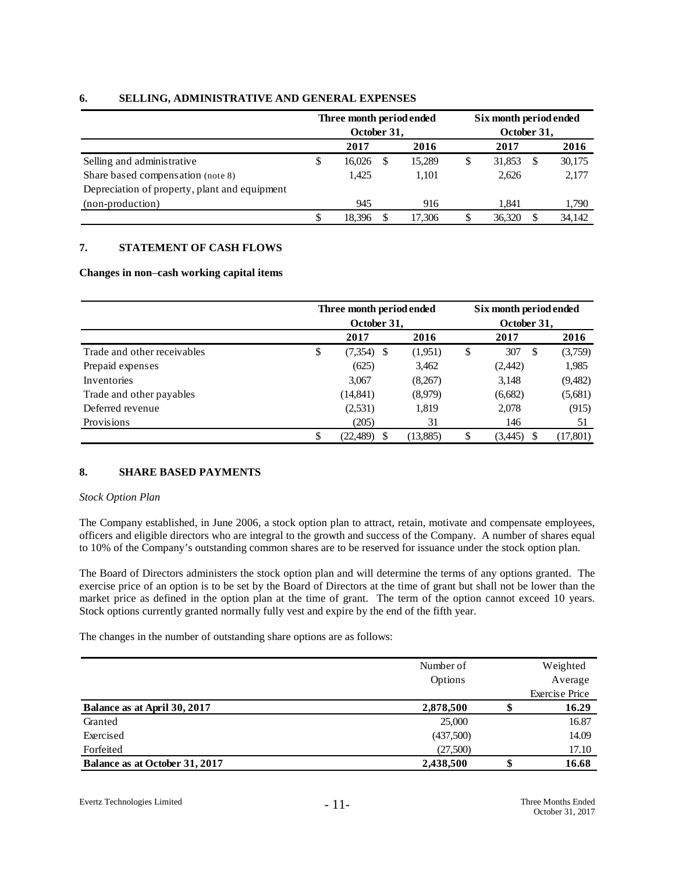|                                               | Three month period ended<br>October 31, |        |  |        | Six month period ended<br>October 31, |        |  |        |  |
|-----------------------------------------------|-----------------------------------------|--------|--|--------|---------------------------------------|--------|--|--------|--|
|                                               |                                         | 2017   |  | 2016   |                                       | 2017   |  | 2016   |  |
| Selling and administrative                    | Φ                                       | 16.026 |  | 15,289 | \$                                    | 31,853 |  | 30,175 |  |
| Share based compensation (note 8)             |                                         | 1.425  |  | 1.101  |                                       | 2,626  |  | 2,177  |  |
| Depreciation of property, plant and equipment |                                         |        |  |        |                                       |        |  |        |  |
| (non-production)                              |                                         | 945    |  | 916    |                                       | 1.841  |  | 1,790  |  |
|                                               |                                         | 18.396 |  | 17.306 | \$                                    | 36.320 |  | 34.142 |  |

### **6. SELLING, ADMINISTRATIVE AND GENERAL EXPENSES**

# **7. STATEMENT OF CASH FLOWS**

#### **Changes in non**–**cash working capital items**

|                             | Three month period ended<br>October 31, |          |    | Six month period ended<br>October 31, |           |  |  |  |
|-----------------------------|-----------------------------------------|----------|----|---------------------------------------|-----------|--|--|--|
|                             | 2017                                    | 2016     |    | 2017                                  | 2016      |  |  |  |
| Trade and other receivables | \$<br>(7,354)<br>S                      | (1,951)  | \$ | 307<br>-S                             | (3,759)   |  |  |  |
| Prepaid expenses            | (625)                                   | 3,462    |    | (2, 442)                              | 1,985     |  |  |  |
| <b>Inventories</b>          | 3,067                                   | (8,267)  |    | 3,148                                 | (9,482)   |  |  |  |
| Trade and other payables    | (14, 841)                               | (8,979)  |    | (6,682)                               | (5,681)   |  |  |  |
| Deferred revenue            | (2, 531)                                | 1,819    |    | 2,078                                 | (915)     |  |  |  |
| Provisions                  | (205)                                   | 31       |    | 146                                   | 51        |  |  |  |
|                             | (22, 489)                               | (13,885) | \$ | (3,445)                               | (17, 801) |  |  |  |

## **8. SHARE BASED PAYMENTS**

#### *Stock Option Plan*

The Company established, in June 2006, a stock option plan to attract, retain, motivate and compensate employees, officers and eligible directors who are integral to the growth and success of the Company. A number of shares equal to 10% of the Company's outstanding common shares are to be reserved for issuance under the stock option plan.

The Board of Directors administers the stock option plan and will determine the terms of any options granted. The exercise price of an option is to be set by the Board of Directors at the time of grant but shall not be lower than the market price as defined in the option plan at the time of grant. The term of the option cannot exceed 10 years. Stock options currently granted normally fully vest and expire by the end of the fifth year.

The changes in the number of outstanding share options are as follows:

|                                | Number of |    | Weighted              |
|--------------------------------|-----------|----|-----------------------|
|                                | Options   |    | Average               |
|                                |           |    | <b>Exercise Price</b> |
| Balance as at April 30, 2017   | 2,878,500 | Φ  | 16.29                 |
| Granted                        | 25,000    |    | 16.87                 |
| Exercised                      | (437,500) |    | 14.09                 |
| Forfeited                      | (27,500)  |    | 17.10                 |
| Balance as at October 31, 2017 | 2,438,500 | \$ | 16.68                 |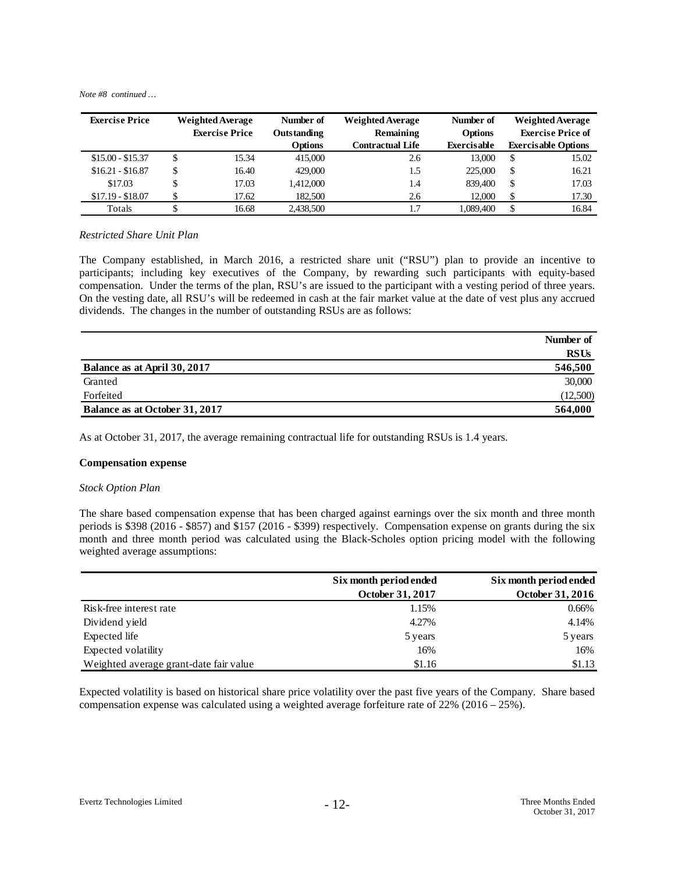*Note #8 continued …*

| <b>Exercise Price</b> | <b>Weighted Average</b> | Number of      | <b>Weighted Average</b> | Number of          | <b>Weighted Average</b>  |                            |
|-----------------------|-------------------------|----------------|-------------------------|--------------------|--------------------------|----------------------------|
|                       | <b>Exercise Price</b>   | Outstanding    | Remaining               | <b>Options</b>     | <b>Exercise Price of</b> |                            |
|                       |                         | <b>Options</b> | <b>Contractual Life</b> | <b>Exercisable</b> |                          | <b>Exercisable Options</b> |
| $$15.00 - $15.37$     | \$<br>15.34             | 415,000        | 2.6                     | 13,000             | \$                       | 15.02                      |
| $$16.21 - $16.87$     | 16.40                   | 429,000        | 1.5                     | 225,000            | \$                       | 16.21                      |
| \$17.03               | 17.03                   | 1,412,000      | 1.4                     | 839,400            | \$                       | 17.03                      |
| $$17.19 - $18.07$     | 17.62                   | 182,500        | 2.6                     | 12,000             | \$                       | 17.30                      |
| Totals                | 16.68                   | 2.438,500      |                         | 1.089.400          |                          | 16.84                      |

#### *Restricted Share Unit Plan*

The Company established, in March 2016, a restricted share unit ("RSU") plan to provide an incentive to participants; including key executives of the Company, by rewarding such participants with equity-based compensation. Under the terms of the plan, RSU's are issued to the participant with a vesting period of three years. On the vesting date, all RSU's will be redeemed in cash at the fair market value at the date of vest plus any accrued dividends. The changes in the number of outstanding RSUs are as follows:

|                                | Number of   |
|--------------------------------|-------------|
|                                | <b>RSUs</b> |
| Balance as at April 30, 2017   | 546,500     |
| Granted                        | 30,000      |
| Forfeited                      | (12,500)    |
| Balance as at October 31, 2017 | 564,000     |

As at October 31, 2017, the average remaining contractual life for outstanding RSUs is 1.4 years.

#### **Compensation expense**

#### *Stock Option Plan*

The share based compensation expense that has been charged against earnings over the six month and three month periods is \$398 (2016 - \$857) and \$157 (2016 - \$399) respectively. Compensation expense on grants during the six month and three month period was calculated using the Black-Scholes option pricing model with the following weighted average assumptions:

|                                        | Six month period ended | Six month period ended |
|----------------------------------------|------------------------|------------------------|
|                                        | October 31, 2017       | October 31, 2016       |
| Risk-free interest rate                | 1.15%                  | 0.66%                  |
| Dividend yield                         | 4.27%                  | 4.14%                  |
| Expected life                          | 5 years                | 5 years                |
| Expected volatility                    | 16%                    | 16%                    |
| Weighted average grant-date fair value | \$1.16                 | \$1.13                 |

Expected volatility is based on historical share price volatility over the past five years of the Company. Share based compensation expense was calculated using a weighted average forfeiture rate of 22% (2016 – 25%).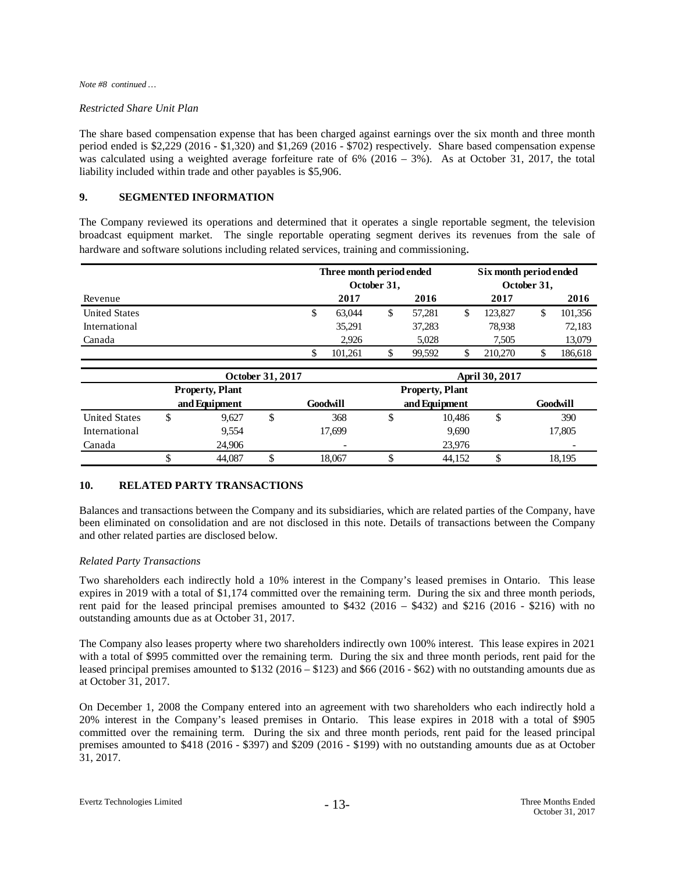#### *Note #8 continued …*

#### *Restricted Share Unit Plan*

The share based compensation expense that has been charged against earnings over the six month and three month period ended is \$2,229 (2016 - \$1,320) and \$1,269 (2016 - \$702) respectively. Share based compensation expense was calculated using a weighted average forfeiture rate of  $6\%$  (2016 – 3%). As at October 31, 2017, the total liability included within trade and other payables is \$5,906.

### **9. SEGMENTED INFORMATION**

The Company reviewed its operations and determined that it operates a single reportable segment, the television broadcast equipment market. The single reportable operating segment derives its revenues from the sale of hardware and software solutions including related services, training and commissioning.

|                      | Three month period ended<br>October 31, |         |   |        |   | Six month period ended<br>October 31, |  |         |  |
|----------------------|-----------------------------------------|---------|---|--------|---|---------------------------------------|--|---------|--|
| Revenue              |                                         | 2017    |   | 2016   |   | 2017                                  |  | 2016    |  |
| <b>United States</b> | S                                       | 63.044  | S | 57.281 | S | 123,827                               |  | 101,356 |  |
| International        |                                         | 35,291  |   | 37,283 |   | 78,938                                |  | 72,183  |  |
| Canada               |                                         | 2.926   |   | 5.028  |   | 7.505                                 |  | 13,079  |  |
|                      |                                         | 101.261 |   | 99.592 | S | 210,270                               |  | 186,618 |  |

|                      |               |                        | October 31, 2017 |                          | <b>April 30, 2017</b> |        |    |                          |  |  |
|----------------------|---------------|------------------------|------------------|--------------------------|-----------------------|--------|----|--------------------------|--|--|
|                      |               | <b>Property, Plant</b> |                  |                          |                       |        |    |                          |  |  |
|                      | and Equipment |                        |                  | Goodwill                 | and Equipment         |        |    | Goodwill                 |  |  |
| <b>United States</b> |               | 9.627                  |                  | 368                      |                       | 10,486 | \$ | 390                      |  |  |
| International        |               | 9,554                  |                  | 17.699                   |                       | 9,690  |    | 17,805                   |  |  |
| Canada               |               | 24.906                 |                  | $\overline{\phantom{a}}$ |                       | 23.976 |    | $\overline{\phantom{0}}$ |  |  |
|                      |               | 44.087                 |                  | 18.067                   |                       | 44.152 | ◡  | 18,195                   |  |  |

#### **10. RELATED PARTY TRANSACTIONS**

Balances and transactions between the Company and its subsidiaries, which are related parties of the Company, have been eliminated on consolidation and are not disclosed in this note. Details of transactions between the Company and other related parties are disclosed below.

#### *Related Party Transactions*

Two shareholders each indirectly hold a 10% interest in the Company's leased premises in Ontario. This lease expires in 2019 with a total of \$1,174 committed over the remaining term. During the six and three month periods, rent paid for the leased principal premises amounted to \$432 (2016 – \$432) and \$216 (2016 - \$216) with no outstanding amounts due as at October 31, 2017.

The Company also leases property where two shareholders indirectly own 100% interest. This lease expires in 2021 with a total of \$995 committed over the remaining term. During the six and three month periods, rent paid for the leased principal premises amounted to \$132 (2016 – \$123) and \$66 (2016 - \$62) with no outstanding amounts due as at October 31, 2017.

On December 1, 2008 the Company entered into an agreement with two shareholders who each indirectly hold a 20% interest in the Company's leased premises in Ontario. This lease expires in 2018 with a total of \$905 committed over the remaining term. During the six and three month periods, rent paid for the leased principal premises amounted to \$418 (2016 - \$397) and \$209 (2016 - \$199) with no outstanding amounts due as at October 31, 2017.